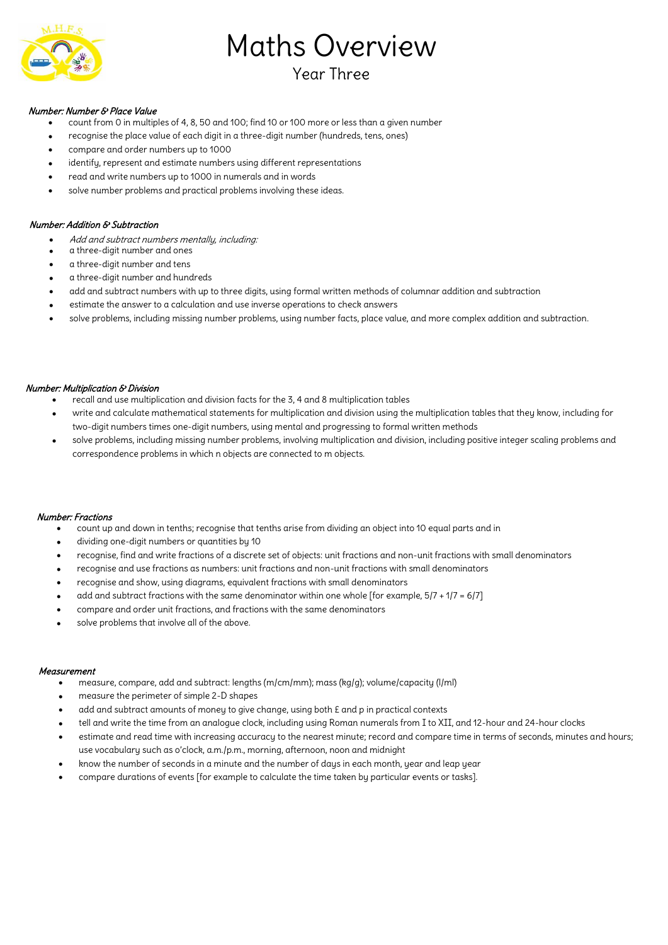

# Maths Overview

## Year Three

#### Number: Number & Place Value

- count from 0 in multiples of 4, 8, 50 and 100; find 10 or 100 more or less than a given number
- recognise the place value of each digit in a three-digit number (hundreds, tens, ones)
- compare and order numbers up to 1000
- identify, represent and estimate numbers using different representations
- read and write numbers up to 1000 in numerals and in words
- solve number problems and practical problems involving these ideas.

#### Number: Addition & Subtraction

- Add and subtract numbers mentally, including:
- a three-digit number and ones
- a three-digit number and tens
- a three-digit number and hundreds
- add and subtract numbers with up to three digits, using formal written methods of columnar addition and subtraction
- estimate the answer to a calculation and use inverse operations to check answers
- solve problems, including missing number problems, using number facts, place value, and more complex addition and subtraction.

#### Number: Multiplication & Division

- recall and use multiplication and division facts for the 3, 4 and 8 multiplication tables
- write and calculate mathematical statements for multiplication and division using the multiplication tables that they know, including for two-digit numbers times one-digit numbers, using mental and progressing to formal written methods
- solve problems, including missing number problems, involving multiplication and division, including positive integer scaling problems and correspondence problems in which n objects are connected to m objects.

#### Number: Fractions

- count up and down in tenths; recognise that tenths arise from dividing an object into 10 equal parts and in
- dividing one-digit numbers or quantities by 10
- recognise, find and write fractions of a discrete set of objects: unit fractions and non-unit fractions with small denominators
- recognise and use fractions as numbers: unit fractions and non-unit fractions with small denominators
- recognise and show, using diagrams, equivalent fractions with small denominators
- add and subtract fractions with the same denominator within one whole [for example, 5/7 + 1/7 = 6/7]
- compare and order unit fractions, and fractions with the same denominators
- solve problems that involve all of the above.

#### Measurement

- measure, compare, add and subtract: lengths (m/cm/mm); mass (kg/g); volume/capacity (l/ml)
- measure the perimeter of simple 2-D shapes
- add and subtract amounts of money to give change, using both £ and p in practical contexts
- tell and write the time from an analogue clock, including using Roman numerals from I to XII, and 12-hour and 24-hour clocks
- estimate and read time with increasing accuracy to the nearest minute; record and compare time in terms of seconds, minutes and hours; use vocabulary such as o'clock, a.m./p.m., morning, afternoon, noon and midnight
- know the number of seconds in a minute and the number of days in each month, year and leap year
- compare durations of events [for example to calculate the time taken by particular events or tasks].